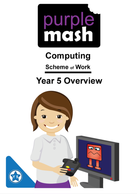

# **Computing**

**Scheme of Work** 

# **Year 5 Overview**

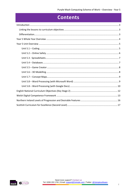### **Contents**

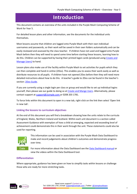### **Introduction**

<span id="page-2-0"></span>This document contains an overview of the units included in the Purple Mash Computing Scheme of Work for Year 5.

For detailed lesson plans and other information, see the documents for the individual units themselves.

Most lessons assume that children are logged onto Purple Mash with their own individual usernames and passwords, so their work will be saved in their own folders automatically and can be easily reviewed and assessed by the class teacher. If children have not used and logged onto Purple Mash before then they will need to spend some time before starting these lessons, learning how to do this. Children can be supported by having their printed logon cards (produced using [Create and](https://www.purplemash.com/site#app/guides/Create_Manage_Users_Guide)  [Manage Users\)](https://www.purplemash.com/site#app/guides/Create_Manage_Users_Guide) to hand.

Lesson plans also make use of the facility within Purple Mash to set activities for pupils which they can then complete and hand-in online (2Dos). This enables you to assess their work easily as well as distribute resources to all pupils. If children have not opened 2Dos before then they will need more detailed instructions about how to do this. A teacher's guide to 2Dos can be found in the teacher's section[: 2Dos Guide.](https://www.purplemash.com/site#app/guides/2dos_pdf_Guide)

If you are currently using a single login per class or group and would like to set up individual logins yourself, then please see our guide to doing so at [Create and Mange Users.](https://www.purplemash.com/site#app/guides/Create_Manage_Users_Guide) Alternatively, please contact support at [support@2simple.com](mailto:support@2simple.com) or 0208 203 1781.

To force links within this document to open in a new tab, right-click on the link then select 'Open link in new tab'.

#### <span id="page-2-1"></span>**Linking the lessons to curriculum objectives**

At the end of this document you will find a breakdown showing how the units relate to the curricula of England, Wales, Northern Ireland and Scotland. Within each unit document is a section called Assessment Guidance with exemplars of how a child at emerging, expected and exceeding level of achievement could demonstrate this in their work through the unit. These statements could also be used for reporting.



This information can be used in association with the Purple Mash Data Dashboard to make and record judgements about children's outcomes and demonstrate progress over time.

For more information about the Data Dashboard see the [Data Dashboard manual](https://www.purplemash.com/app/guides/Data_Dashboard_Users_Guide) or view the videos within the Data Dashboard tool.

#### <span id="page-2-2"></span>**Differentiation**

Where appropriate, guidance has been given on how to simplify tasks within lessons or challenge those who are ready for more stretching tasks.

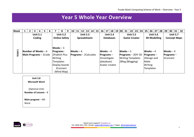### **Year 5 Whole Year Overview**

| <b>Week</b> | $\overline{2}$ | 3                                                       | 4               | 5 <sub>1</sub><br>6 |                | 8                                                                                                             | 9 | 10          | $\vert$ 11 | 12                                     | 13 | 14 | 15 | $16 \mid 17$                                                                        | 18 <sup>1</sup>                     | 19 20 | 21         |                 | $22 \mid 23 \mid$                                                    | 24 | 25                                                                               | 26 27 28                               |  | 29 30                                                              | 31              | 32 |
|-------------|----------------|---------------------------------------------------------|-----------------|---------------------|----------------|---------------------------------------------------------------------------------------------------------------|---|-------------|------------|----------------------------------------|----|----|----|-------------------------------------------------------------------------------------|-------------------------------------|-------|------------|-----------------|----------------------------------------------------------------------|----|----------------------------------------------------------------------------------|----------------------------------------|--|--------------------------------------------------------------------|-----------------|----|
|             |                |                                                         | <b>Unit 5.1</b> |                     |                | <b>Unit 5.2</b><br><b>Online Safety</b>                                                                       |   |             |            | <b>Unit 5.3</b><br><b>Spreadsheets</b> |    |    |    |                                                                                     | <b>Unit 5.4</b><br><b>Databases</b> |       |            | <b>Unit 5.5</b> | <b>Game Creator</b>                                                  |    |                                                                                  | <b>Unit 5.6</b><br><b>3D Modelling</b> |  |                                                                    | <b>Unit 5.7</b> |    |
| w<br>YEAR   |                | Number of Weeks $-6$<br><b>Main Programs</b> $-$ 2 Code | Coding          |                     | <b>Writing</b> | Weeks $-3$<br>$ $ Programs -<br>2Publish Plus<br><b>Templates</b><br>Display boards<br>2Connect<br>(Mind Map) |   | $Weeks - 6$ |            | <b>Programs</b> - 2 Calculate          |    |    |    | $Weeks - 4$<br><b>Programs</b> $-$<br>2Investigate<br>(database)<br>lAvatar creator |                                     |       | Weeks $-5$ |                 | $Programs - 2DIY 3D$<br><b>Writing Templates</b><br>2Blog (Blogging) |    | Weeks $-4$<br>$Programs -$<br>2Design and<br>Make<br>Writing<br><b>Templates</b> |                                        |  | <b>Concept Maps</b><br>$Weeks - 4$<br>$ $ Programs $-$<br>2Connect |                 |    |

<span id="page-3-0"></span>

| <b>Unit 5.8</b><br><b>Microsoft Word</b>  |
|-------------------------------------------|
| (Optional Unit)<br>Number of Lessons $-8$ |
| Main program $-$ MS<br>Word               |

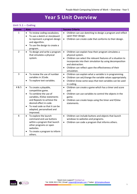### **Year 5 Unit Overview**

#### <span id="page-4-1"></span><span id="page-4-0"></span>**Unit 5.1 – Coding**

| <b>Lesson</b>  | <b>Aims</b>                                                                                                                                                                                                                                                                      | <b>Success Criteria</b>                                                                                                                                                                                                                                                                                                             |
|----------------|----------------------------------------------------------------------------------------------------------------------------------------------------------------------------------------------------------------------------------------------------------------------------------|-------------------------------------------------------------------------------------------------------------------------------------------------------------------------------------------------------------------------------------------------------------------------------------------------------------------------------------|
| 1              | To review coding vocabulary.<br>$\bullet$<br>To use a sketch or storyboard<br>$\bullet$<br>to represent a program design<br>and algorithm.<br>To use the design to create a<br>$\bullet$<br>program.                                                                             | Children can use sketching to design a program and reflect<br>$\bullet$<br>upon their design.<br>Children can create code that conforms to their design.<br>$\bullet$                                                                                                                                                               |
| $\overline{2}$ | To design and write a program<br>$\bullet$<br>that simulates a physical<br>system.                                                                                                                                                                                               | $\bullet$<br>Children can explain how their program simulates a<br>physical system.<br>Children can select the relevant features of a situation to<br>$\bullet$<br>incorporate into their simulation by using decomposition<br>and abstraction.<br>Children can reflect upon the effectiveness of their<br>$\bullet$<br>simulation. |
| 3              | To review the use of number<br>$\bullet$<br>variables in 2Code.<br>To explore text variables.<br>٠                                                                                                                                                                               | Children can explain what a variable is in programming.<br>$\bullet$<br>Children can set/change the variable values appropriately.<br>$\bullet$<br>Children know some ways that text variables can be used<br>$\bullet$<br>in coding.                                                                                               |
| 4 & 5          | To create a playable,<br>$\bullet$<br>competitive game.<br>To combine the use of<br>$\bullet$<br>variables, If/else statements<br>and Repeats to achieve the<br>desired effect in code.<br>To read code so that it can be<br>$\bullet$<br>adapted, personalised and<br>improved. | Children can create a game which has a timer and score<br>$\bullet$<br>pad.<br>Children can use variables to control the objects in the<br>$\bullet$<br>game.<br>Children can create loops using the timer and If/else<br>$\bullet$<br>statements.                                                                                  |
| 6              | To explore the launch<br>$\bullet$<br>command and use buttons<br>within a program that launch<br>other programs or open<br>websites.<br>To create a program to inform<br>others.                                                                                                 | Children can include buttons and objects that launch<br>$\bullet$<br>windows to websites and programs.<br>Children can code a program that informs others.<br>$\bullet$                                                                                                                                                             |

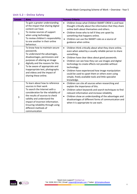| Lesson         | <b>Aims</b>                                                                                                                                                                                                                                                                                                            | <b>Success Criteria</b>                                                                                                                                                                                                                                                                                                                                                                                                                                                                                                            |
|----------------|------------------------------------------------------------------------------------------------------------------------------------------------------------------------------------------------------------------------------------------------------------------------------------------------------------------------|------------------------------------------------------------------------------------------------------------------------------------------------------------------------------------------------------------------------------------------------------------------------------------------------------------------------------------------------------------------------------------------------------------------------------------------------------------------------------------------------------------------------------------|
| $\mathbf{1}$   | To gain a greater understanding<br>of the impact that sharing digital<br>content can have.<br>To review sources of support<br>when using technology.<br>To review children's responsibility<br>to one another in their online<br>behaviour.                                                                            | Children know what Childnet SMART CREW is and have<br>thought critically about the information that they share<br>online both about themselves and others.<br>Children know who to tell if they are upset by<br>$\bullet$<br>something that happens online.<br>Children can use the SMART rules as a source of<br>$\bullet$<br>guidance when online.                                                                                                                                                                               |
| $\overline{2}$ | To know how to maintain secure<br>passwords.<br>To understand the advantages,<br>disadvantages, permissions and<br>purposes of altering an image<br>digitally and the reasons for this.<br>To be aware of appropriate and<br>inappropriate text, photographs<br>and videos and the impact of<br>sharing these online.  | Children think critically about what they share online,<br>$\bullet$<br>even when asked by a usually reliable person to share<br>something.<br>Children have clear ideas about good passwords.<br>$\bullet$<br>Children can see how they can use images and digital<br>$\bullet$<br>technology to create effects not possible without<br>technology.<br>Children have experienced how image manipulation<br>could be used to upset them or others even using<br>simple, freely available tools and little specialist<br>knowledge. |
| 3              | To learn about how to reference<br>sources in their work<br>To search the Internet with a<br>consideration for the reliability of<br>the results of sources to check<br>validity and understand the<br>impact of incorrect information.<br>Ensuring reliability through using<br>different methods of<br>communication | Children can cite all sources when researching and<br>$\bullet$<br>explain the importance of this.<br>Children select keywords and search techniques to find<br>$\bullet$<br>relevant information and increase reliability<br>Children show an understanding of the advantages and<br>disadvantages of different forms of communication and<br>when it is appropriate to use each.                                                                                                                                                 |

#### <span id="page-5-0"></span>**Unit 5.2 – Online Safety**

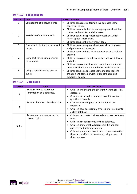| Lesson         | <b>Aims</b>                                      | <b>Success Criteria</b>                                                                                                                                                                                      |
|----------------|--------------------------------------------------|--------------------------------------------------------------------------------------------------------------------------------------------------------------------------------------------------------------|
| 1              | Conversions of measurements.                     | Children can create a formula in a spreadsheet to<br>$\bullet$<br>convert m to cm.<br>Children can apply this to creating a spreadsheet that<br>$\bullet$<br>converts miles to km and vice versa.            |
| $\overline{2}$ | Novel use of the count tool.                     | Children can use a spreadsheet to work out which<br>$\bullet$<br>letters appear most often.<br>Children can use the 'how many' tool.<br>$\bullet$                                                            |
| 3              | Formulae including the advanced<br>mode.         | Children can use a spreadsheet to work out the area<br>$\bullet$<br>and perimeter of rectangles.<br>Children can use these calculations to solve a real-life<br>$\bullet$<br>problem.                        |
| 4              | Using text variables to perform<br>calculations. | Children can create simple formulae that use different<br>$\bullet$<br>variables.<br>Children can create a formula that will work out how<br>$\bullet$<br>many days there are in x number of weeks or years. |
| 5              | Using a spreadsheet to plan an<br>event.         | Children can use a spreadsheet to model a real-life<br>$\bullet$<br>situation and come up with solutions that can be<br>practically applied.                                                                 |

#### <span id="page-6-0"></span>**Unit 5.3 - Spreadsheets**

#### <span id="page-6-1"></span>**Unit 5.4 – Databases**

| Lesson         | <b>Aims</b>                                              | <b>Success Criteria</b>                                                                                                                                                                                                                                                                                                                                                             |
|----------------|----------------------------------------------------------|-------------------------------------------------------------------------------------------------------------------------------------------------------------------------------------------------------------------------------------------------------------------------------------------------------------------------------------------------------------------------------------|
| 1              | To learn how to search for<br>information on a database. | Children understand the different ways to search a<br>$\bullet$<br>database.<br>Children can search a database in order to answer<br>$\bullet$<br>questions correctly.                                                                                                                                                                                                              |
| $\overline{2}$ | To contribute to a class database.                       | Children have designed an avatar for a class<br>$\bullet$<br>database.<br>Children have successfully entered information into<br>$\bullet$<br>a class database.                                                                                                                                                                                                                     |
| 3 & 4          | To create a database around a<br>chosen topic.           | Children can create their own database on a chosen<br>$\bullet$<br>topic.<br>Children can add records to their database.<br>$\bullet$<br>Children know what a database field is and can<br>$\bullet$<br>correctly add field information.<br>Children understand how to word questions so that<br>$\bullet$<br>they can be effectively answered using a search of<br>their database. |

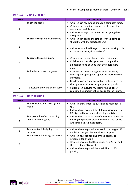| Lesson         | <b>Aims</b>                         | <b>Success Criteria</b>                                                                                                                                                                                                          |
|----------------|-------------------------------------|----------------------------------------------------------------------------------------------------------------------------------------------------------------------------------------------------------------------------------|
| 1              | To set the scene.                   | Children can review and analyse a computer game.<br>$\bullet$<br>Children can describe some of the elements that<br>make a successful game.<br>Children can begin the process of designing their<br>own game.                    |
| $\overline{2}$ | To create the game environment.     | Children can design the setting for their game so<br>$\bullet$<br>that it fits with the selected theme.<br>Children can upload images or use the drawing tools<br>to create the walls, floor and roof.                           |
| 3              | To create the game quest.           | Children can design characters for their game.<br>$\bullet$<br>Children can decide upon, and change, the<br>$\bullet$<br>animations and sounds that the characters<br>make.                                                      |
| 4              | To finish and share the game        | Children can make their game more unique by<br>$\bullet$<br>selecting the appropriate options to maximise the<br>playability.<br>Children can write informative instructions for<br>their game so that other people can play it. |
| 5              | To evaluate their and peers' games. | Children can evaluate my their own and peers'<br>$\bullet$<br>games to help improve their design for the future.                                                                                                                 |

#### <span id="page-7-0"></span>**Unit 5.5 – Game Creator**

#### <span id="page-7-1"></span>**Unit 5.6 – 3D Modelling**

| Lesson | Aims                                                      | <b>Success Criteria</b>                                                                                                                                                                                                                                   |
|--------|-----------------------------------------------------------|-----------------------------------------------------------------------------------------------------------------------------------------------------------------------------------------------------------------------------------------------------------|
| 1      | To be introduced to 2Design and<br>Make.                  | Children know what the 2Design and Make tool is<br>$\bullet$<br>for.<br>Children have explored the different viewpoints in<br>٠<br>2Design and Make whilst designing a building.                                                                          |
| 2      | To explore the effect of moving<br>points when designing. | Children have adapted one of the vehicle models by<br>٠<br>moving the points to alter the shape of the vehicle<br>while still maintaining its form.                                                                                                       |
| 3      | To understand designing for a<br>purpose.                 | Children have explored how to edit the polygon 3D<br>٠<br>models to design a 3D model for a purpose.                                                                                                                                                      |
| 4      | To understand printing and making.                        | Children have refined one of their designs to<br>$\bullet$<br>prepare it for printing.<br>Children have printed their design as a 2D net and<br>$\bullet$<br>then created a 3D model.<br>Children have explored the possibilities of 3D<br>٠<br>printing. |

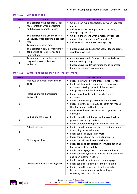#### <span id="page-8-0"></span>**Unit 5.7 – Concept Maps**

| Lesson      | <b>Aims</b>                                                                                                 | <b>Success Criteria</b>                                                                                                                                                            |
|-------------|-------------------------------------------------------------------------------------------------------------|------------------------------------------------------------------------------------------------------------------------------------------------------------------------------------|
| $\mathbf 1$ | To understand the need for visual<br>representation when generating<br>and discussing complex ideas.        | Children can make connections between thoughts<br>$\bullet$<br>and ideas.<br>Children can see the importance of recording<br>$\bullet$<br>concept maps visually.                   |
| 2           | To understand and use the correct<br>vocabulary when creating a concept<br>map.<br>To create a concept map. | Children understand what is meant by 'concept<br>$\bullet$<br>maps', 'stage', 'nodes' and 'connections'.<br>Children can create a basic concept map.<br>$\bullet$                  |
| 3           | To understand how a concept map<br>can be used to retell stories and<br>information.                        | Children have used 2Connect Story Mode to create<br>$\bullet$<br>an informative text.                                                                                              |
| 4           | To create a collaborative concept<br>map and present this to an<br>audience.                                | Children have used 2Connect collaboratively to<br>$\bullet$<br>create a concept map.<br>Children have used Presentation Mode to present<br>٠<br>their concept maps to an audience. |

#### <span id="page-8-1"></span>**Unit 5.8 – Word Processing (with Microsoft Word)**

| <b>Lesson</b>  | <b>Aims</b>                          | <b>Success Criteria</b>                                         |
|----------------|--------------------------------------|-----------------------------------------------------------------|
|                | Making a document from a blank       | Pupils know what a word processing tool is for.                 |
| $\mathbf{1}$   | page                                 | Pupils will be able to create a word processing<br>$\bullet$    |
|                |                                      | document altering the look of the text and                      |
|                |                                      | navigating around the document.                                 |
|                | <b>Inserting Images: Considering</b> | Pupils know how to add images to a word                         |
|                | Copyright                            | document.                                                       |
|                |                                      | Pupils can edit images to reduce their file size.<br>٠          |
| $\overline{2}$ |                                      | Pupils know the correct way to search for images                |
|                |                                      | that they are permitted to reuse.                               |
|                |                                      | Pupils know how to attribute the original artist of             |
|                |                                      | an image.                                                       |
|                | <b>Editing Images in Word</b>        | Pupils can edit their images within Word to best<br>$\bullet$   |
| 3              |                                      | present them alongside text.                                    |
|                |                                      | Pupils understand wrapping of images and text.                  |
|                | Adding the text                      | Pupils can add appropriate text to their document,<br>$\bullet$ |
| 4              |                                      | formatting in a suitable way.                                   |
|                |                                      | Pupils can use a style set in Word.<br>$\bullet$                |
|                |                                      | Pupils can use bullet points and numbering.                     |
|                | Finishing touches                    | Pupils can add text boxes and shapes.<br>$\bullet$              |
|                |                                      | Pupils can consider paragraph formatting such as                |
|                |                                      | line spacing, drop capitals.                                    |
| 5              |                                      | Pupils can use page breaks, headers and footers.                |
|                |                                      | Pupils can add hyperlinks to places in the document             |
|                |                                      | and to an external website.                                     |
|                |                                      | Pupils can add an automated contents page.                      |
|                | Presenting information using tables  | Pupils can add tables to present information.<br>$\bullet$      |
| 6              |                                      | Pupils can edit properties of tables including<br>$\bullet$     |
|                |                                      | borders, colours, merging cells, adding and                     |
|                |                                      | removing rows and columns.                                      |

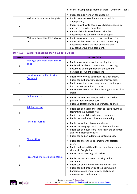|   |                                        | • Pupils can add word art for a heading.                                                                                                                                                                                                                      |
|---|----------------------------------------|---------------------------------------------------------------------------------------------------------------------------------------------------------------------------------------------------------------------------------------------------------------|
| 7 | Writing a letter using a template      | • Pupils can use a Word template and edit it<br>appropriately.<br>• Pupils know how to save a Word document as a pdf<br>and the reasons for doing this.<br>(Optional) Pupils know how to print their<br>$\bullet$<br>documents and can print ranges of pages. |
| 8 | Making a document from a blank<br>page | • Pupils know what a word processing tool is for.<br>Pupils will be able to create a word processing<br>document altering the look of the text and<br>navigating around the document.                                                                         |

#### <span id="page-9-0"></span>**Unit 5.8 – Word Processing (with Google Docs)**

| Lesson         | <b>Aims</b>                                       | <b>Success Criteria</b>                                                                                                                                                                                                                                             |
|----------------|---------------------------------------------------|---------------------------------------------------------------------------------------------------------------------------------------------------------------------------------------------------------------------------------------------------------------------|
| 1              | Making a document from a blank<br>page            | Pupils know what a word processing tool is for.<br>Pupils will be able to create a word processing<br>document, altering the look of the text and<br>navigating around the document.                                                                                |
| $\overline{2}$ | <b>Inserting Images: Considering</b><br>Copyright | Pupils know how to add images to a document.<br>٠<br>Pupils can edit images to reduce their file size.<br>Pupils know the correct way to search for images<br>that they are permitted to reuse.<br>Pupils know how to attribute the original artist of an<br>image. |
| 3              | <b>Editing Images</b>                             | Pupils can edit their images within Docs to best<br>present them alongside text.<br>Pupils understand wrapping of images and text.                                                                                                                                  |
| $\overline{4}$ | <b>Adding the text</b>                            | Pupils can add appropriate text to their document,<br>formatting in a suitable way.<br>Pupils can use styles to format a document.<br>$\bullet$<br>Pupils can use bullet points and numbering.                                                                      |
| 5              | <b>Finishing touches</b>                          | Pupils can add text boxes and shapes.<br>$\bullet$<br>Pupils can use page breaks, headers and footers.<br>Pupils can add hyperlinks to places in the document<br>and to an external website.<br>Pupils can add an automated contents page.                          |
| 6              | <b>Sharing Files</b>                              | Pupils can share their documents with selected<br>users.<br>Pupils understand the different permissions when<br>$\bullet$<br>sharing in Google docs.<br>Pupils can share using a share link.<br>$\bullet$                                                           |
| 7              | <b>Presenting information using tables</b>        | Pupils can create a vector drawing in their<br>$\bullet$<br>document.<br>Pupils can add tables to present information.<br>Pupils can edit properties of tables including<br>borders, colours, merging cells, adding and<br>removing rows and columns.               |

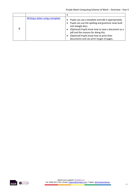| 8 | Writing a letter using a template | Pupils can use a template and edit it appropriately.<br>$\bullet$<br>Pupils can use the spelling and grammar tools built<br>$\bullet$<br>into Google docs.<br>(Optional) Pupils know how to save a document as a<br>$\bullet$<br>pdf and the reasons for doing this.<br>(Optional) Pupils know how to print their<br>$\bullet$<br>documents and can print ranges of pages. |
|---|-----------------------------------|----------------------------------------------------------------------------------------------------------------------------------------------------------------------------------------------------------------------------------------------------------------------------------------------------------------------------------------------------------------------------|

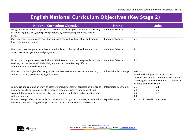### **English National Curriculum Objectives (Key Stage 2)**

<span id="page-11-0"></span>

| <b>National Curriculum Objective</b>                                                                                                                                                                                                                                                           | <b>Strand</b>                 | <b>Units</b>                                                                                                                                                                           |
|------------------------------------------------------------------------------------------------------------------------------------------------------------------------------------------------------------------------------------------------------------------------------------------------|-------------------------------|----------------------------------------------------------------------------------------------------------------------------------------------------------------------------------------|
| Design, write and debug programs that accomplish specific goals, including controlling<br>or simulating physical systems; solve problems by decomposing them into smaller<br>parts.                                                                                                            | <b>Computer Science</b>       | 5.1<br>5.5                                                                                                                                                                             |
| Use sequence, selection and repetition in programs; work with variables and various<br>forms of input and output.                                                                                                                                                                              | <b>Computer Science</b>       | 5.1                                                                                                                                                                                    |
| Use logical reasoning to explain how some simple algorithms work and to detect and<br>correct errors in algorithms and programs.                                                                                                                                                               | Computer Science              | 5.1                                                                                                                                                                                    |
| Understand computer networks, including the Internet; how they can provide multiple<br>services, such as the World Wide Web; and the opportunities they offer for<br>communication and collaboration.                                                                                          | <b>Computer Science</b>       | 5.2                                                                                                                                                                                    |
| Use search technologies effectively, appreciate how results are selected and ranked,<br>and be discerning in evaluating digital content.                                                                                                                                                       | <b>Information Technology</b> | Various<br>Search technologies are taught more<br>specifically in unit 4.7. Children will utilize this<br>knowledge in many Internet based sessions in<br>all areas of the curriculum. |
| Select, use and combine a variety of software (including internet services) on a range of<br>digital devices to design and create a range of programs, systems and content that<br>accomplish given goals, including collecting, analysing, evaluating and presenting data<br>and information. | <b>Information Technology</b> | 5.1<br>5.3<br>5.5<br>5.4<br>5.6<br>5.7<br>5.8                                                                                                                                          |
| Use technology safely, respectfully and responsibly; recognise acceptable/unacceptable<br>behaviour; identify a range of ways to report concerns about content and contact.                                                                                                                    | Digital Literacy              | 5.2 and discussed in other units                                                                                                                                                       |

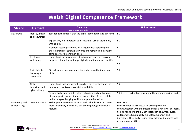### **Welsh Digital Competence Framework**

<span id="page-12-0"></span>

| <b>Strand</b>                    | <b>Element</b>                                | <b>Objective</b><br>(Learners are able to):                                                                                                                                        | <b>Units Covered</b>                                                                                                                                                                                                                                                                                                                               |
|----------------------------------|-----------------------------------------------|------------------------------------------------------------------------------------------------------------------------------------------------------------------------------------|----------------------------------------------------------------------------------------------------------------------------------------------------------------------------------------------------------------------------------------------------------------------------------------------------------------------------------------------------|
| Citizenship                      | Identity, image<br>and reputation             | Talk about the impact that the digital content created can have.                                                                                                                   | 5.2                                                                                                                                                                                                                                                                                                                                                |
|                                  |                                               | Explain why it is important to discuss their use of technology<br>with an adult.                                                                                                   | 5.2                                                                                                                                                                                                                                                                                                                                                |
|                                  |                                               | Maintain secure passwords on a regular basis applying the<br>characteristics of strong passwords and refrain from using the<br>same password more than once                        | 5.2                                                                                                                                                                                                                                                                                                                                                |
|                                  | Health and<br>well-being                      | Understand the advantages, disadvantages, permissions and<br>purposes of altering an image digitally and the reasons for this.                                                     | 5.2                                                                                                                                                                                                                                                                                                                                                |
|                                  |                                               |                                                                                                                                                                                    | 5.5                                                                                                                                                                                                                                                                                                                                                |
|                                  | Digital rights,<br>licensing and<br>ownership | Cite all sources when researching and explain the importance<br>of this.                                                                                                           | 5.2                                                                                                                                                                                                                                                                                                                                                |
|                                  | Online<br>behaviour and<br>cyberbullying      | Understand that photographs can be edited digitally and the<br>rights and permissions associated with this.                                                                        | 5.2                                                                                                                                                                                                                                                                                                                                                |
|                                  |                                               | Demonstrate appropriate online behaviour and apply a range<br>of strategies to protect themselves and others from possible<br>online dangers, bullying and inappropriate behaviour | 5.2 Also as part of blogging about their work in various units.                                                                                                                                                                                                                                                                                    |
| Interacting and<br>collaborating | Communication                                 | Exchange online communication with other learners in one or<br>more languages, making use of a growing range of available<br>features.                                             | <b>Most Units</b><br>Most children will successfully exchange online<br>communication with other learners for a variety of purposes,<br>using a range of Purple Mash tools such as 2Email, 2Blog,<br>collaborative functionality e.g. 2Dos, 2Connect and<br>2Investige. Their skill at using more advanced features such<br>as searching for 2Dos. |

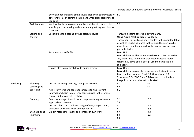|           |                             | Show an understanding of the advantages and disadvantages of<br>different forms of communication and when it is appropriate to<br>use each.                   | 5.2                                                                                                                                                                                                                                                                                              |
|-----------|-----------------------------|---------------------------------------------------------------------------------------------------------------------------------------------------------------|--------------------------------------------------------------------------------------------------------------------------------------------------------------------------------------------------------------------------------------------------------------------------------------------------|
|           | Collaboration               | Work with others to create an online collaborative project for a<br>specific purpose, sharing and appropriately setting permissions<br>for other              | 5.7                                                                                                                                                                                                                                                                                              |
|           | Storing and<br>sharing      | Back up files to a second or third storage device                                                                                                             | Through Blogging covered in several units.<br>Using Purple Mash collaborative tools.<br>Throughout Purple Mash, most children will understand that<br>as well as files being stored in the cloud, they can also be<br>downloaded and backed up locally, on a network or on a<br>portable device. |
|           |                             | Search for a specific file                                                                                                                                    | <b>Most Units</b><br>Most children will be able to use the search feature in the<br>'My Work' area to find files that meet a specific search<br>criteria e.g. name of file, date (if used to name the file),<br>subject etc.                                                                     |
|           |                             | Upload files from a local drive to online storage.                                                                                                            | <b>Most Units</b><br>Most children can use the image upload feature in various<br>tools used for example: (Unit-5.4-2Investigate, 5.3-<br>2calculate, 5.6-2DIY3D and 5.7-2connect) to upload an<br>image from a local drive to Purple Mash.                                                      |
| Producing | Planning,<br>sourcing and   | Create a written plan using a template provided.                                                                                                              | 5.1<br>5.5<br>5.6<br>5.8                                                                                                                                                                                                                                                                         |
|           | searching                   | Adjust keywords and search techniques to find relevant<br>information; begin to reference sources used in their work;<br>consider if the content is reliable. | 5.2,                                                                                                                                                                                                                                                                                             |
|           | Creating                    | Combine a range of multimedia components to produce an<br>appropriate outcome.                                                                                | 5.1<br>5.5<br>5.8                                                                                                                                                                                                                                                                                |
|           |                             | Create, collect and combine a range of text, image, sound,<br>animation and video for selected purposes.                                                      | 5.1<br>5.5<br>5.1<br>5.3                                                                                                                                                                                                                                                                         |
|           | Evaluating and<br>improving | Explain reasons for layout and content of own work                                                                                                            | 5.4<br>5.5<br>5.6<br>5.7<br>5.8                                                                                                                                                                                                                                                                  |

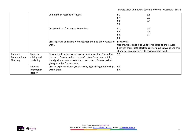Purple Mash Computing Scheme of Work – Overview - Year 5

|               |             | Comment on reasons for layout                                     | 5.1               | 5.3                                                                                                                |
|---------------|-------------|-------------------------------------------------------------------|-------------------|--------------------------------------------------------------------------------------------------------------------|
|               |             |                                                                   | 5.4               | 5.5                                                                                                                |
|               |             |                                                                   | 5.6               | 5.7                                                                                                                |
|               |             |                                                                   | 5.8               |                                                                                                                    |
|               |             | Invite feedback/responses from others                             | 5.1               | 5.3                                                                                                                |
|               |             |                                                                   | 5.4               | 5.5                                                                                                                |
|               |             |                                                                   | 5.6               | 5.7                                                                                                                |
|               |             |                                                                   | 5.8               |                                                                                                                    |
|               |             | Create groups and share work between them to allow review of      | <b>Most Units</b> |                                                                                                                    |
|               |             | work.                                                             |                   | Opportunities exist in all units for children to share work                                                        |
|               |             |                                                                   |                   | between them, both electronically or physically, and use this<br>sharing as an opportunity to review others' work. |
| Data and      | Problem     | Design simple sequences of instructions (algorithms) including    | 5.1               |                                                                                                                    |
| Computational | solving and | the use of Boolean values (i.e. yes/no/true/false), e.g. within   |                   |                                                                                                                    |
| Thinking      | modelling   | the algorithm, demonstrate the correct use of Boolean values      |                   |                                                                                                                    |
|               |             | giving an either/or response.                                     |                   |                                                                                                                    |
|               | Data and    | Create, explore and analyse data sets, highlighting relationships | 5.3               |                                                                                                                    |
|               | information | within them                                                       | 5.4               |                                                                                                                    |
|               | literacy    |                                                                   |                   |                                                                                                                    |

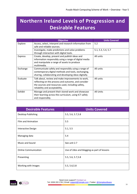## <span id="page-15-0"></span>**Northern Ireland Levels of Progression and Desirable Features**

|                | <b>Objective</b>                                                                                                                                                                                | <b>Units Covered</b> |
|----------------|-------------------------------------------------------------------------------------------------------------------------------------------------------------------------------------------------|----------------------|
| Explore        | Access, select, interpret and research information from<br>safe and reliable sources.                                                                                                           | 5.2                  |
|                | Investigate, make predictions and solve problems<br>through interaction with digital tools.                                                                                                     | 5.1, 5.3, 5.4, 5.7   |
| <b>Express</b> | Create, develop, present and publish ideas and<br>information responsibly using a range of digital media<br>and manipulate a range of assets to produce<br>multimedia.                          | All units            |
| Exchange       | Communicate safely and responsibly using a range of<br>contemporary digital methods and tools, exchanging,<br>sharing, collaborating and developing ideas digitally.                            | All units            |
| Evaluate       | Talk about, review and make improvements to work,<br>reflecting on the process and outcome, and consider<br>the sources and resources used, including safety,<br>reliability and acceptability. | All units            |
| Exhibit        | Manage and present their stored work and showcase<br>their learning across the curriculum, using ICT safely<br>and responsibly.                                                                 | <b>All Units</b>     |

| <b>Desirable Features</b>   | <b>Units Covered</b>                        |
|-----------------------------|---------------------------------------------|
| Desktop Publishing          | 5.5, 5.6, 5.7, 5.8                          |
| Film and Animation          | 5.5                                         |
| <b>Interactive Design</b>   | 5.1, 5.5                                    |
| Managing data               | 5.4                                         |
| Music and Sound             | See unit 2.7                                |
| <b>Online Communication</b> | Use of 2dos and blogging as part of lessons |
| Presenting                  | 5.5, 5.6, 5.7, 5.8                          |
| Working with Images         | 5.5, 5.6, 5.8                               |

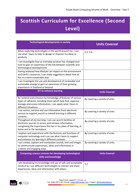## <span id="page-16-0"></span>**Scottish Curriculum for Excellence (Second Level)**

| <b>Technological developments in society</b>                                                                                                                                                                          | <b>Units Covered</b>            |
|-----------------------------------------------------------------------------------------------------------------------------------------------------------------------------------------------------------------------|---------------------------------|
| When exploring technologies in the world around me, I can<br>use what I learn to help to design or improve my ideas or<br>products.                                                                                   | 5.5, 5.6                        |
| I can investigate how an everyday product has changed over<br>time to gain an awareness of the link between scientific and<br>technological developments                                                              |                                 |
| Having analysed how lifestyle can impact on the environment<br>and Earth's resources, I can make suggestions about how to<br>live in a more sustainable way.                                                          |                                 |
| I can investigate the use and development of renewable and<br>sustainable energy to gain an awareness of their growing<br>importance in Scotland or beyond.                                                           |                                 |
| <b>ICT to enhance learning</b>                                                                                                                                                                                        | <b>Units Covered</b>            |
| As I extend and enhance my knowledge of features of various<br>types of software, including those which help find, organise,<br>manage and access information, I can apply what I learn in<br>different situations.   | By covering a variety of units. |
| I can access, retrieve and use information from electronic<br>sources to support, enrich or extend learning in different<br>contexts.                                                                                 | By covering a variety of units. |
| Throughout all my learning, I can use search facilities of<br>electronic sources to access and retrieve information,<br>recognising the importance this has in my place of learning, at<br>home and in the workplace. | By covering a variety of units. |
| I explore and experiment with the features and functions of<br>computer technology and I can use what I learn to support<br>and enhance my learning in different contexts.                                            | By covering a variety of units. |
| I can create, capture and manipulate sounds, text and images<br>to communicate experiences, ideas and information in<br>creative and engaging ways.                                                                   | By covering a variety of units. |
| Computing science contexts for developing technological<br>skills and knowledge                                                                                                                                       | <b>Units Covered</b>            |
| I am developing my knowledge and use of safe and acceptable<br>conduct as I use different technologies to interact and share<br>experiences, ideas and information with others                                        | 5.2                             |